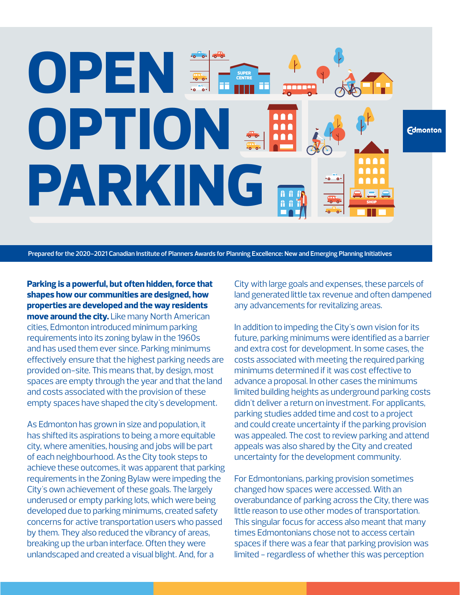## **OPEN** SUPER **CENTRE OPTION Edmonton PARKING**

**Prepared for the 2020-2021 Canadian Institute of Planners Awards for Planning Excellence: New and Emerging Planning Initiatives**

**Parking is a powerful, but often hidden, force that shapes how our communities are designed, how properties are developed and the way residents move around the city.** Like many North American cities, Edmonton introduced minimum parking requirements into its zoning bylaw in the 1960s and has used them ever since. Parking minimums effectively ensure that the highest parking needs are provided on-site. This means that, by design, most spaces are empty through the year and that the land and costs associated with the provision of these empty spaces have shaped the city's development.

As Edmonton has grown in size and population, it has shifted its aspirations to being a more equitable city, where amenities, housing and jobs will be part of each neighbourhood. As the City took steps to achieve these outcomes, it was apparent that parking requirements in the Zoning Bylaw were impeding the City's own achievement of these goals. The largely underused or empty parking lots, which were being developed due to parking minimums, created safety concerns for active transportation users who passed by them. They also reduced the vibrancy of areas, breaking up the urban interface. Often they were unlandscaped and created a visual blight. And, for a

City with large goals and expenses, these parcels of land generated little tax revenue and often dampened any advancements for revitalizing areas.

In addition to impeding the City's own vision for its future, parking minimums were identified as a barrier and extra cost for development. In some cases, the costs associated with meeting the required parking minimums determined if it was cost effective to advance a proposal. In other cases the minimums limited building heights as underground parking costs didn't deliver a return on investment. For applicants, parking studies added time and cost to a project and could create uncertainty if the parking provision was appealed. The cost to review parking and attend appeals was also shared by the City and created uncertainty for the development community.

For Edmontonians, parking provision sometimes changed how spaces were accessed. With an overabundance of parking across the City, there was little reason to use other modes of transportation. This singular focus for access also meant that many times Edmontonians chose not to access certain spaces if there was a fear that parking provision was limited - regardless of whether this was perception